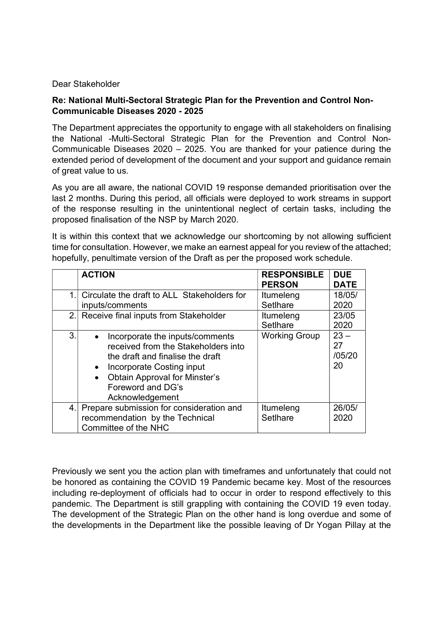## Dear Stakeholder

## Re: National Multi-Sectoral Strategic Plan for the Prevention and Control Non-Communicable Diseases 2020 - 2025

The Department appreciates the opportunity to engage with all stakeholders on finalising the National -Multi-Sectoral Strategic Plan for the Prevention and Control Non-Communicable Diseases 2020 – 2025. You are thanked for your patience during the extended period of development of the document and your support and guidance remain of great value to us.

As you are all aware, the national COVID 19 response demanded prioritisation over the last 2 months. During this period, all officials were deployed to work streams in support of the response resulting in the unintentional neglect of certain tasks, including the proposed finalisation of the NSP by March 2020.

It is within this context that we acknowledge our shortcoming by not allowing sufficient time for consultation. However, we make an earnest appeal for you review of the attached; hopefully, penultimate version of the Draft as per the proposed work schedule.

|     | <b>ACTION</b>                                                                                                                                                                                                           | <b>RESPONSIBLE</b><br><b>PERSON</b> | <b>DUE</b><br><b>DATE</b>    |
|-----|-------------------------------------------------------------------------------------------------------------------------------------------------------------------------------------------------------------------------|-------------------------------------|------------------------------|
|     | Circulate the draft to ALL Stakeholders for<br>inputs/comments                                                                                                                                                          | Itumeleng<br>SetIhare               | 18/05/<br>2020               |
| 2.1 | Receive final inputs from Stakeholder                                                                                                                                                                                   | Itumeleng<br>Setlhare               | 23/05<br>2020                |
| 3.  | Incorporate the inputs/comments<br>received from the Stakeholders into<br>the draft and finalise the draft<br>Incorporate Costing input<br><b>Obtain Approval for Minster's</b><br>Foreword and DG's<br>Acknowledgement | <b>Working Group</b>                | $23 -$<br>27<br>/05/20<br>20 |
| 4.  | Prepare submission for consideration and<br>recommendation by the Technical<br>Committee of the NHC                                                                                                                     | Itumeleng<br>SetIhare               | 26/05/<br>2020               |

Previously we sent you the action plan with timeframes and unfortunately that could not be honored as containing the COVID 19 Pandemic became key. Most of the resources including re-deployment of officials had to occur in order to respond effectively to this pandemic. The Department is still grappling with containing the COVID 19 even today. The development of the Strategic Plan on the other hand is long overdue and some of the developments in the Department like the possible leaving of Dr Yogan Pillay at the